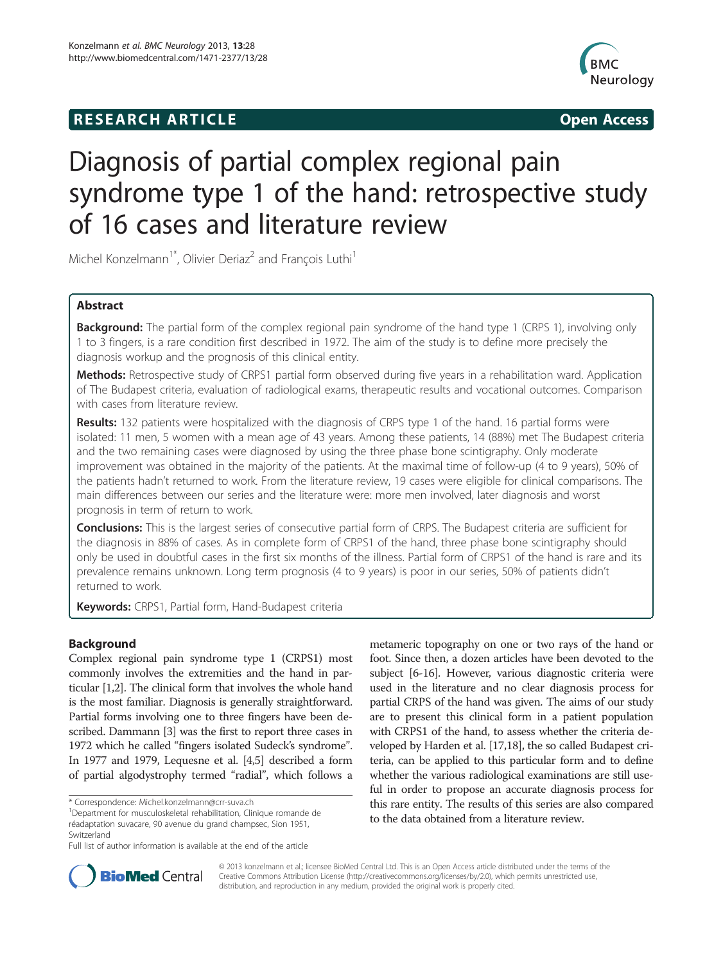# **RESEARCH ARTICLE Example 2014 The SEAR CH ACCESS**



# Diagnosis of partial complex regional pain syndrome type 1 of the hand: retrospective study of 16 cases and literature review

Michel Konzelmann<sup>1\*</sup>, Olivier Deriaz<sup>2</sup> and François Luthi<sup>1</sup>

# Abstract

**Background:** The partial form of the complex regional pain syndrome of the hand type 1 (CRPS 1), involving only 1 to 3 fingers, is a rare condition first described in 1972. The aim of the study is to define more precisely the diagnosis workup and the prognosis of this clinical entity.

Methods: Retrospective study of CRPS1 partial form observed during five years in a rehabilitation ward. Application of The Budapest criteria, evaluation of radiological exams, therapeutic results and vocational outcomes. Comparison with cases from literature review.

Results: 132 patients were hospitalized with the diagnosis of CRPS type 1 of the hand. 16 partial forms were isolated: 11 men, 5 women with a mean age of 43 years. Among these patients, 14 (88%) met The Budapest criteria and the two remaining cases were diagnosed by using the three phase bone scintigraphy. Only moderate improvement was obtained in the majority of the patients. At the maximal time of follow-up (4 to 9 years), 50% of the patients hadn't returned to work. From the literature review, 19 cases were eligible for clinical comparisons. The main differences between our series and the literature were: more men involved, later diagnosis and worst prognosis in term of return to work.

**Conclusions:** This is the largest series of consecutive partial form of CRPS. The Budapest criteria are sufficient for the diagnosis in 88% of cases. As in complete form of CRPS1 of the hand, three phase bone scintigraphy should only be used in doubtful cases in the first six months of the illness. Partial form of CRPS1 of the hand is rare and its prevalence remains unknown. Long term prognosis (4 to 9 years) is poor in our series, 50% of patients didn't returned to work.

Keywords: CRPS1, Partial form, Hand-Budapest criteria

# Background

Complex regional pain syndrome type 1 (CRPS1) most commonly involves the extremities and the hand in particular [\[1,2\]](#page-6-0). The clinical form that involves the whole hand is the most familiar. Diagnosis is generally straightforward. Partial forms involving one to three fingers have been described. Dammann [\[3](#page-6-0)] was the first to report three cases in 1972 which he called "fingers isolated Sudeck's syndrome". In 1977 and 1979, Lequesne et al. [\[4,5\]](#page-6-0) described a form of partial algodystrophy termed "radial", which follows a

metameric topography on one or two rays of the hand or foot. Since then, a dozen articles have been devoted to the subject [\[6-16\]](#page-6-0). However, various diagnostic criteria were used in the literature and no clear diagnosis process for partial CRPS of the hand was given. The aims of our study are to present this clinical form in a patient population with CRPS1 of the hand, to assess whether the criteria developed by Harden et al. [\[17,18](#page-7-0)], the so called Budapest criteria, can be applied to this particular form and to define whether the various radiological examinations are still useful in order to propose an accurate diagnosis process for this rare entity. The results of this series are also compared to the data obtained from a literature review.



© 2013 konzelmann et al.; licensee BioMed Central Ltd. This is an Open Access article distributed under the terms of the Creative Commons Attribution License (<http://creativecommons.org/licenses/by/2.0>), which permits unrestricted use, distribution, and reproduction in any medium, provided the original work is properly cited.

<sup>\*</sup> Correspondence: [Michel.konzelmann@crr-suva.ch](mailto:Michel.konzelmann@crr-suva.ch) <sup>1</sup>

Department for musculoskeletal rehabilitation, Clinique romande de réadaptation suvacare, 90 avenue du grand champsec, Sion 1951, Switzerland

Full list of author information is available at the end of the article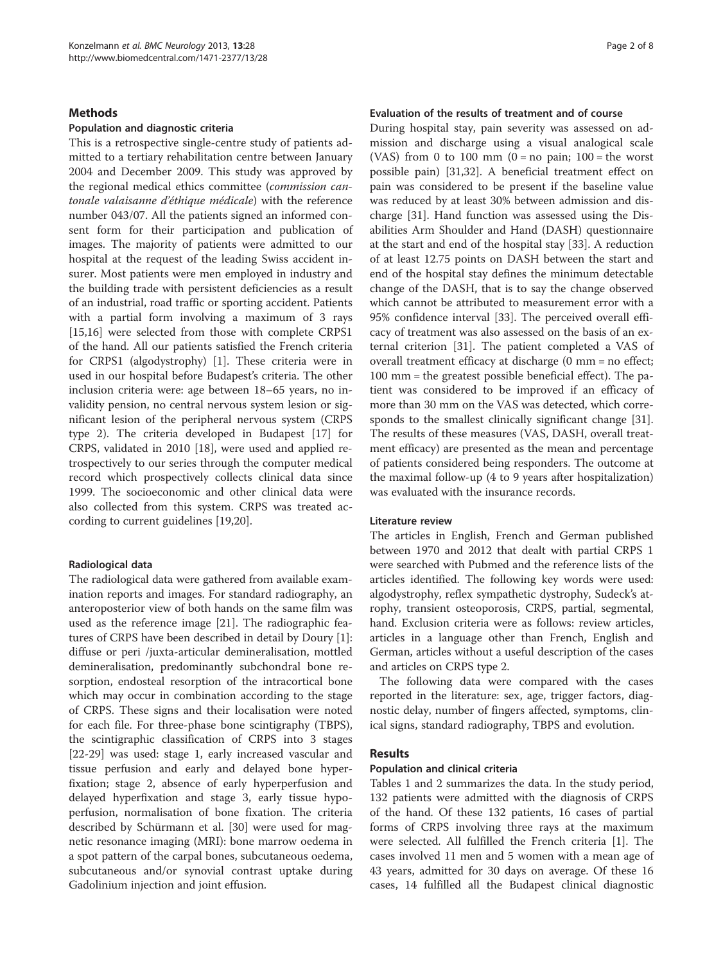## **Methods**

#### Population and diagnostic criteria

This is a retrospective single-centre study of patients admitted to a tertiary rehabilitation centre between January 2004 and December 2009. This study was approved by the regional medical ethics committee (commission cantonale valaisanne d'éthique médicale) with the reference number 043/07. All the patients signed an informed consent form for their participation and publication of images. The majority of patients were admitted to our hospital at the request of the leading Swiss accident insurer. Most patients were men employed in industry and the building trade with persistent deficiencies as a result of an industrial, road traffic or sporting accident. Patients with a partial form involving a maximum of 3 rays [[15,16\]](#page-6-0) were selected from those with complete CRPS1 of the hand. All our patients satisfied the French criteria for CRPS1 (algodystrophy) [[1\]](#page-6-0). These criteria were in used in our hospital before Budapest's criteria. The other inclusion criteria were: age between 18–65 years, no invalidity pension, no central nervous system lesion or significant lesion of the peripheral nervous system (CRPS type 2). The criteria developed in Budapest [[17\]](#page-7-0) for CRPS, validated in 2010 [\[18](#page-7-0)], were used and applied retrospectively to our series through the computer medical record which prospectively collects clinical data since 1999. The socioeconomic and other clinical data were also collected from this system. CRPS was treated according to current guidelines [[19,20\]](#page-7-0).

#### Radiological data

The radiological data were gathered from available examination reports and images. For standard radiography, an anteroposterior view of both hands on the same film was used as the reference image [\[21\]](#page-7-0). The radiographic features of CRPS have been described in detail by Doury [\[1](#page-6-0)]: diffuse or peri /juxta-articular demineralisation, mottled demineralisation, predominantly subchondral bone resorption, endosteal resorption of the intracortical bone which may occur in combination according to the stage of CRPS. These signs and their localisation were noted for each file. For three-phase bone scintigraphy (TBPS), the scintigraphic classification of CRPS into 3 stages [[22-29](#page-7-0)] was used: stage 1, early increased vascular and tissue perfusion and early and delayed bone hyperfixation; stage 2, absence of early hyperperfusion and delayed hyperfixation and stage 3, early tissue hypoperfusion, normalisation of bone fixation. The criteria described by Schürmann et al. [\[30](#page-7-0)] were used for magnetic resonance imaging (MRI): bone marrow oedema in a spot pattern of the carpal bones, subcutaneous oedema, subcutaneous and/or synovial contrast uptake during Gadolinium injection and joint effusion.

# Evaluation of the results of treatment and of course

During hospital stay, pain severity was assessed on admission and discharge using a visual analogical scale (VAS) from 0 to 100 mm  $(0 = no \,\text{pain}; 100 = the \,\text{worst}$ possible pain) [\[31,32](#page-7-0)]. A beneficial treatment effect on pain was considered to be present if the baseline value was reduced by at least 30% between admission and discharge [[31](#page-7-0)]. Hand function was assessed using the Disabilities Arm Shoulder and Hand (DASH) questionnaire at the start and end of the hospital stay [\[33](#page-7-0)]. A reduction of at least 12.75 points on DASH between the start and end of the hospital stay defines the minimum detectable change of the DASH, that is to say the change observed which cannot be attributed to measurement error with a 95% confidence interval [[33](#page-7-0)]. The perceived overall efficacy of treatment was also assessed on the basis of an external criterion [[31](#page-7-0)]. The patient completed a VAS of overall treatment efficacy at discharge (0 mm = no effect; 100 mm = the greatest possible beneficial effect). The patient was considered to be improved if an efficacy of more than 30 mm on the VAS was detected, which corresponds to the smallest clinically significant change [\[31](#page-7-0)]. The results of these measures (VAS, DASH, overall treatment efficacy) are presented as the mean and percentage of patients considered being responders. The outcome at the maximal follow-up (4 to 9 years after hospitalization) was evaluated with the insurance records.

#### Literature review

The articles in English, French and German published between 1970 and 2012 that dealt with partial CRPS 1 were searched with Pubmed and the reference lists of the articles identified. The following key words were used: algodystrophy, reflex sympathetic dystrophy, Sudeck's atrophy, transient osteoporosis, CRPS, partial, segmental, hand. Exclusion criteria were as follows: review articles, articles in a language other than French, English and German, articles without a useful description of the cases and articles on CRPS type 2.

The following data were compared with the cases reported in the literature: sex, age, trigger factors, diagnostic delay, number of fingers affected, symptoms, clinical signs, standard radiography, TBPS and evolution.

## Results

#### Population and clinical criteria

Tables [1](#page-2-0) and [2](#page-3-0) summarizes the data. In the study period, 132 patients were admitted with the diagnosis of CRPS of the hand. Of these 132 patients, 16 cases of partial forms of CRPS involving three rays at the maximum were selected. All fulfilled the French criteria [[1](#page-6-0)]. The cases involved 11 men and 5 women with a mean age of 43 years, admitted for 30 days on average. Of these 16 cases, 14 fulfilled all the Budapest clinical diagnostic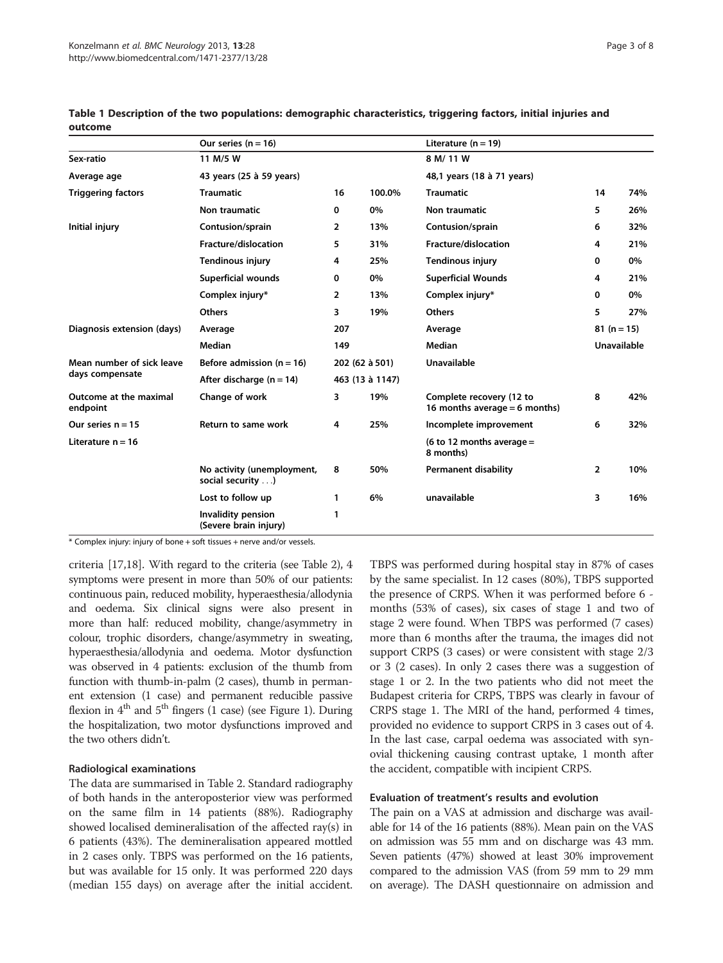|                                              | Our series ( $n = 16$ )                         |                 |        | Literature ( $n = 19$ )                                   |                    |     |
|----------------------------------------------|-------------------------------------------------|-----------------|--------|-----------------------------------------------------------|--------------------|-----|
| Sex-ratio                                    | 11 M/5 W                                        |                 |        | 8 M/ 11 W                                                 |                    |     |
| Average age                                  | 43 years (25 à 59 years)                        |                 |        | 48,1 years (18 à 71 years)                                |                    |     |
| <b>Triggering factors</b>                    | <b>Traumatic</b>                                | 16              | 100.0% | <b>Traumatic</b>                                          | 14                 | 74% |
|                                              | Non traumatic                                   | 0               | 0%     | Non traumatic                                             | 5                  | 26% |
| Initial injury                               | Contusion/sprain                                | 2               | 13%    | Contusion/sprain                                          | 6                  | 32% |
|                                              | Fracture/dislocation                            | 5               | 31%    | Fracture/dislocation                                      | 4                  | 21% |
|                                              | <b>Tendinous injury</b>                         | 4               | 25%    | <b>Tendinous injury</b>                                   | 0                  | 0%  |
|                                              | <b>Superficial wounds</b>                       | 0               | 0%     | <b>Superficial Wounds</b>                                 | 4                  | 21% |
|                                              | Complex injury*                                 | 2               | 13%    | Complex injury*                                           | 0                  | 0%  |
|                                              | <b>Others</b>                                   | 3               | 19%    | <b>Others</b>                                             | 5                  | 27% |
| Diagnosis extension (days)                   | Average                                         | 207             |        | Average                                                   | $81(n=15)$         |     |
|                                              | <b>Median</b>                                   | 149             |        | Median                                                    | <b>Unavailable</b> |     |
| Mean number of sick leave<br>days compensate | Before admission $(n = 16)$                     | 202 (62 à 501)  |        | <b>Unavailable</b>                                        |                    |     |
|                                              | After discharge $(n = 14)$                      | 463 (13 à 1147) |        |                                                           |                    |     |
| Outcome at the maximal<br>endpoint           | Change of work                                  | 3               | 19%    | Complete recovery (12 to<br>16 months average = 6 months) | 8                  | 42% |
| Our series $n = 15$                          | Return to same work                             | 4               | 25%    | Incomplete improvement                                    | 6                  | 32% |
| Literature $n = 16$                          |                                                 |                 |        | (6 to 12 months average $=$<br>8 months)                  |                    |     |
|                                              | No activity (unemployment,<br>social security ) | 8               | 50%    | <b>Permanent disability</b>                               | $\overline{2}$     | 10% |
|                                              | Lost to follow up                               | 1               | 6%     | unavailable                                               | 3                  | 16% |
|                                              | Invalidity pension<br>(Severe brain injury)     | 1               |        |                                                           |                    |     |

<span id="page-2-0"></span>Table 1 Description of the two populations: demographic characteristics, triggering factors, initial injuries and outcome

\* Complex injury: injury of bone + soft tissues + nerve and/or vessels.

criteria [\[17,18\]](#page-7-0). With regard to the criteria (see Table [2\)](#page-3-0), 4 symptoms were present in more than 50% of our patients: continuous pain, reduced mobility, hyperaesthesia/allodynia and oedema. Six clinical signs were also present in more than half: reduced mobility, change/asymmetry in colour, trophic disorders, change/asymmetry in sweating, hyperaesthesia/allodynia and oedema. Motor dysfunction was observed in 4 patients: exclusion of the thumb from function with thumb-in-palm (2 cases), thumb in permanent extension (1 case) and permanent reducible passive flexion in  $4<sup>th</sup>$  and  $5<sup>th</sup>$  fingers (1 case) (see Figure [1\)](#page-4-0). During the hospitalization, two motor dysfunctions improved and the two others didn't.

#### Radiological examinations

The data are summarised in Table [2.](#page-3-0) Standard radiography of both hands in the anteroposterior view was performed on the same film in 14 patients (88%). Radiography showed localised demineralisation of the affected ray(s) in 6 patients (43%). The demineralisation appeared mottled in 2 cases only. TBPS was performed on the 16 patients, but was available for 15 only. It was performed 220 days (median 155 days) on average after the initial accident.

TBPS was performed during hospital stay in 87% of cases by the same specialist. In 12 cases (80%), TBPS supported the presence of CRPS. When it was performed before 6 months (53% of cases), six cases of stage 1 and two of stage 2 were found. When TBPS was performed (7 cases) more than 6 months after the trauma, the images did not support CRPS (3 cases) or were consistent with stage 2/3 or 3 (2 cases). In only 2 cases there was a suggestion of stage 1 or 2. In the two patients who did not meet the Budapest criteria for CRPS, TBPS was clearly in favour of CRPS stage 1. The MRI of the hand, performed 4 times, provided no evidence to support CRPS in 3 cases out of 4. In the last case, carpal oedema was associated with synovial thickening causing contrast uptake, 1 month after the accident, compatible with incipient CRPS.

#### Evaluation of treatment's results and evolution

The pain on a VAS at admission and discharge was available for 14 of the 16 patients (88%). Mean pain on the VAS on admission was 55 mm and on discharge was 43 mm. Seven patients (47%) showed at least 30% improvement compared to the admission VAS (from 59 mm to 29 mm on average). The DASH questionnaire on admission and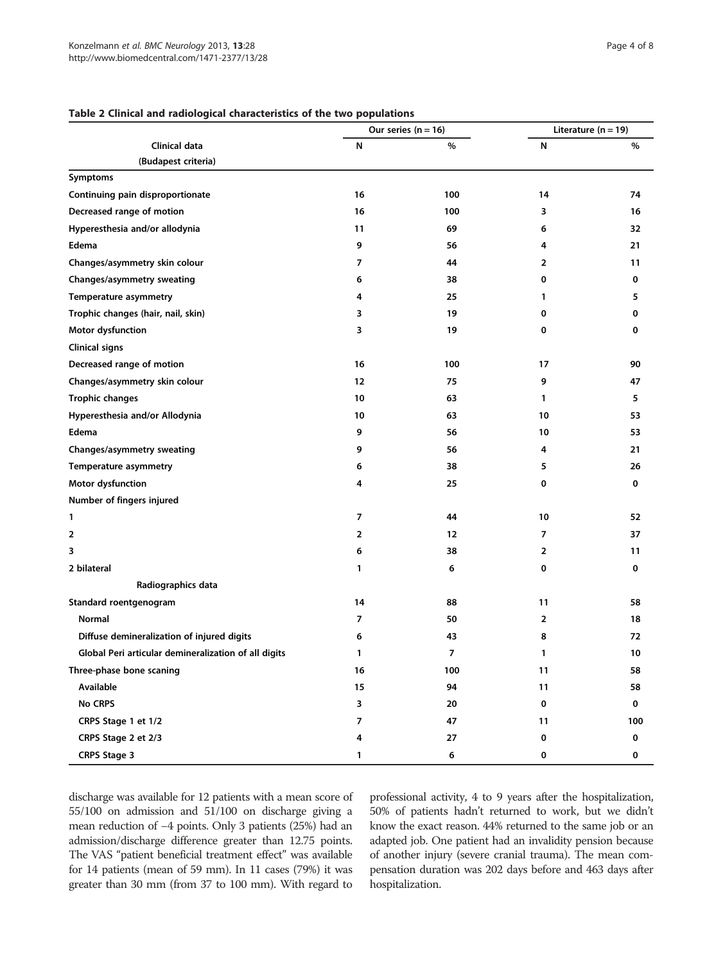# Our series  $(n = 16)$  Literature  $(n = 19)$ Clinical data N % N % (Budapest criteria) Symptoms Continuing pain disproportionate and the continuing pain disproportionate and the continuing pain disproportionate Decreased range of motion and the control of the control of the control of the control of the control of the control of the control of the control of the control of the control of the control of the control of the control Hyperesthesia and/or allodynia and the state of the state of the state of the state of the state of the state of the state of the state of the state of the state of the state of the state of the state of the state of the s Edema 9 56 4 21 Changes/asymmetry skin colour and the colour and the colour and the colour colour and the colour colour and the colour and the colour and the colour and the colour and the colour and the colour and the colour and the colou Changes/asymmetry sweating and the control of the control of the control of the control of the control of the control of the control of the control of the control of the control of the control of the control of the control Temperature asymmetry and the state of the state of the state of the state of the state of the state of the state of the state of the state of the state of the state of the state of the state of the state of the state of t Trophic changes (hair, nail, skin) 3 19 0 0 Motor dysfunction and the control of the control of the control of the control of the control of the control of the control of the control of the control of the control of the control of the control of the control of the c Clinical signs Decreased range of motion and the control of the control of the control of the control of the control of the control of the control of the control of the control of the control of the control of the control of the control Changes/asymmetry skin colour and the colour 12 12 12 12 12 12 12 12 13 13 147 Trophic changes 5 1 63 1 5 Hyperesthesia and/or Allodynia and the control of the control of the control of the control of the control of the control of the control of the control of the control of the control of the control of the control of the con Edema 9 56 10 53 Changes/asymmetry sweating and the state of the state of the state of the state of the state of the state of the state of the state of the state of the state of the state of the state of the state of the state of the state Temperature asymmetry and the state of the state of the state of the state of the state of the state of the state of the state of the state of the state of the state of the state of the state of the state of the state of t Motor dysfunction and the control of the control of the control of the control of the control of the control of the control of the control of the control of the control of the control of the control of the control of the c Number of fingers injured 1 and 10 and 10  $\frac{1}{2}$  10  $\frac{1}{2}$  52 2 2 2 2 2 37 3 and  $\begin{array}{ccc} 3 & 3 & 2 & 11 \end{array}$ 2 bilateral 1 6 0 0 Radiographics data Standard roentgenogram 14 and 14 58 11 58 Normal 7 50 2 18 Diffuse demineralization of injured digits and the set of the set of the set of the set of the set of the set of the set of the set of the set of the set of the set of the set of the set of the set of the set of the set of Global Peri articular demineralization of all digits 1 7 1 10 Three-phase bone scaning 16 16 100 11 58 Available 15 94 11 58 No CRPS 3 20 0 0 CRPS Stage 1 et 1/2 100

CRPS Stage 2 et 2/3 4 27 0 0 CRPS Stage 3 1 6 0 0

#### <span id="page-3-0"></span>Table 2 Clinical and radiological characteristics of the two populations

discharge was available for 12 patients with a mean score of 55/100 on admission and 51/100 on discharge giving a mean reduction of −4 points. Only 3 patients (25%) had an admission/discharge difference greater than 12.75 points. The VAS "patient beneficial treatment effect" was available for 14 patients (mean of 59 mm). In 11 cases (79%) it was greater than 30 mm (from 37 to 100 mm). With regard to

professional activity, 4 to 9 years after the hospitalization, 50% of patients hadn't returned to work, but we didn't know the exact reason. 44% returned to the same job or an adapted job. One patient had an invalidity pension because of another injury (severe cranial trauma). The mean compensation duration was 202 days before and 463 days after hospitalization.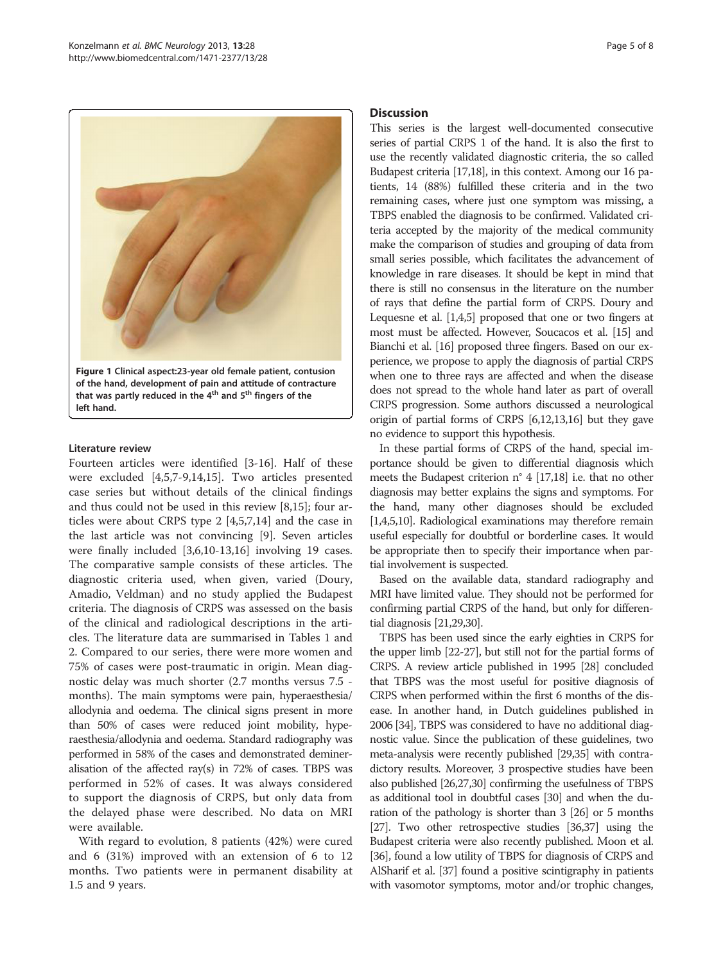<span id="page-4-0"></span>

#### Literature review

Fourteen articles were identified [\[3](#page-6-0)-[16\]](#page-6-0). Half of these were excluded [[4,5,7-9](#page-6-0),[14](#page-6-0),[15](#page-6-0)]. Two articles presented case series but without details of the clinical findings and thus could not be used in this review [[8,15\]](#page-6-0); four articles were about CRPS type 2 [\[4,5,7](#page-6-0),[14](#page-6-0)] and the case in the last article was not convincing [[9\]](#page-6-0). Seven articles were finally included [\[3](#page-6-0),[6](#page-6-0),[10](#page-6-0)-[13,16\]](#page-6-0) involving 19 cases. The comparative sample consists of these articles. The diagnostic criteria used, when given, varied (Doury, Amadio, Veldman) and no study applied the Budapest criteria. The diagnosis of CRPS was assessed on the basis of the clinical and radiological descriptions in the articles. The literature data are summarised in Tables [1](#page-2-0) and [2.](#page-3-0) Compared to our series, there were more women and 75% of cases were post-traumatic in origin. Mean diagnostic delay was much shorter (2.7 months versus 7.5 months). The main symptoms were pain, hyperaesthesia/ allodynia and oedema. The clinical signs present in more than 50% of cases were reduced joint mobility, hyperaesthesia/allodynia and oedema. Standard radiography was performed in 58% of the cases and demonstrated demineralisation of the affected ray(s) in 72% of cases. TBPS was performed in 52% of cases. It was always considered to support the diagnosis of CRPS, but only data from the delayed phase were described. No data on MRI were available.

With regard to evolution, 8 patients (42%) were cured and 6 (31%) improved with an extension of 6 to 12 months. Two patients were in permanent disability at 1.5 and 9 years.

#### **Discussion**

This series is the largest well-documented consecutive series of partial CRPS 1 of the hand. It is also the first to use the recently validated diagnostic criteria, the so called Budapest criteria [\[17,18](#page-7-0)], in this context. Among our 16 patients, 14 (88%) fulfilled these criteria and in the two remaining cases, where just one symptom was missing, a TBPS enabled the diagnosis to be confirmed. Validated criteria accepted by the majority of the medical community make the comparison of studies and grouping of data from small series possible, which facilitates the advancement of knowledge in rare diseases. It should be kept in mind that there is still no consensus in the literature on the number of rays that define the partial form of CRPS. Doury and Lequesne et al. [[1,4,5\]](#page-6-0) proposed that one or two fingers at most must be affected. However, Soucacos et al. [[15](#page-6-0)] and Bianchi et al. [[16](#page-6-0)] proposed three fingers. Based on our experience, we propose to apply the diagnosis of partial CRPS when one to three rays are affected and when the disease does not spread to the whole hand later as part of overall CRPS progression. Some authors discussed a neurological origin of partial forms of CRPS [\[6,12,13,16](#page-6-0)] but they gave no evidence to support this hypothesis.

In these partial forms of CRPS of the hand, special importance should be given to differential diagnosis which meets the Budapest criterion n° 4 [[17,18](#page-7-0)] i.e. that no other diagnosis may better explains the signs and symptoms. For the hand, many other diagnoses should be excluded [[1,4,5,10](#page-6-0)]. Radiological examinations may therefore remain useful especially for doubtful or borderline cases. It would be appropriate then to specify their importance when partial involvement is suspected.

Based on the available data, standard radiography and MRI have limited value. They should not be performed for confirming partial CRPS of the hand, but only for differential diagnosis [[21,29,30\]](#page-7-0).

TBPS has been used since the early eighties in CRPS for the upper limb [\[22-27\]](#page-7-0), but still not for the partial forms of CRPS. A review article published in 1995 [\[28\]](#page-7-0) concluded that TBPS was the most useful for positive diagnosis of CRPS when performed within the first 6 months of the disease. In another hand, in Dutch guidelines published in 2006 [[34\]](#page-7-0), TBPS was considered to have no additional diagnostic value. Since the publication of these guidelines, two meta-analysis were recently published [\[29,35\]](#page-7-0) with contradictory results. Moreover, 3 prospective studies have been also published [[26,27,30\]](#page-7-0) confirming the usefulness of TBPS as additional tool in doubtful cases [[30](#page-7-0)] and when the duration of the pathology is shorter than 3 [[26](#page-7-0)] or 5 months [[27](#page-7-0)]. Two other retrospective studies [[36,37\]](#page-7-0) using the Budapest criteria were also recently published. Moon et al. [[36](#page-7-0)], found a low utility of TBPS for diagnosis of CRPS and AlSharif et al. [[37](#page-7-0)] found a positive scintigraphy in patients with vasomotor symptoms, motor and/or trophic changes,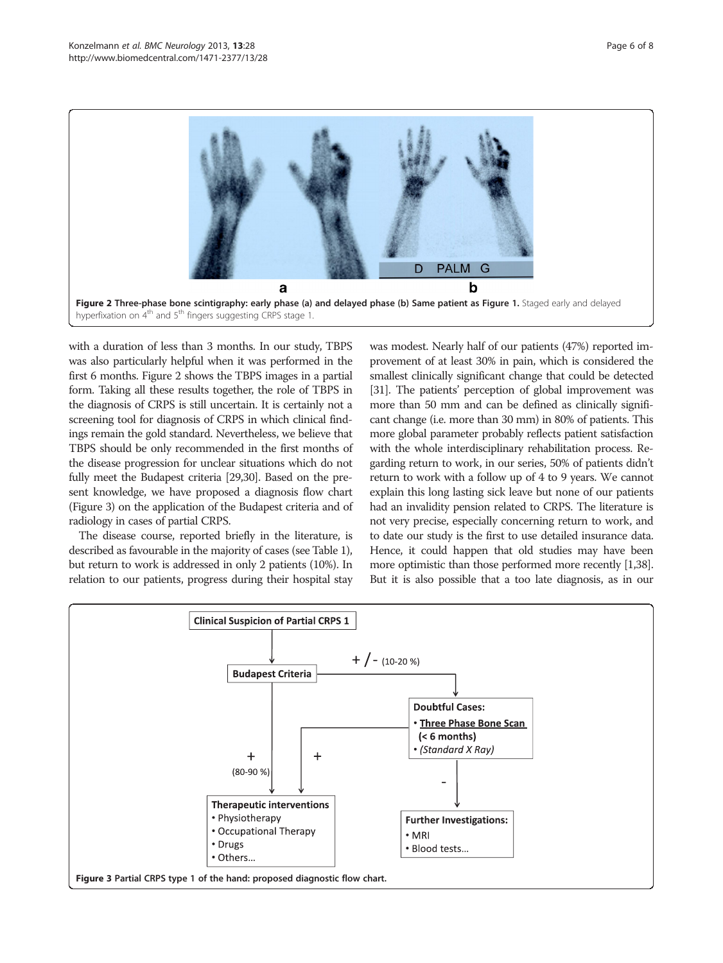

with a duration of less than 3 months. In our study, TBPS was also particularly helpful when it was performed in the first 6 months. Figure 2 shows the TBPS images in a partial form. Taking all these results together, the role of TBPS in the diagnosis of CRPS is still uncertain. It is certainly not a screening tool for diagnosis of CRPS in which clinical findings remain the gold standard. Nevertheless, we believe that TBPS should be only recommended in the first months of the disease progression for unclear situations which do not fully meet the Budapest criteria [\[29,30\]](#page-7-0). Based on the present knowledge, we have proposed a diagnosis flow chart (Figure 3) on the application of the Budapest criteria and of radiology in cases of partial CRPS.

The disease course, reported briefly in the literature, is described as favourable in the majority of cases (see Table [1](#page-2-0)), but return to work is addressed in only 2 patients (10%). In relation to our patients, progress during their hospital stay

was modest. Nearly half of our patients (47%) reported improvement of at least 30% in pain, which is considered the smallest clinically significant change that could be detected [[31](#page-7-0)]. The patients' perception of global improvement was more than 50 mm and can be defined as clinically significant change (i.e. more than 30 mm) in 80% of patients. This more global parameter probably reflects patient satisfaction with the whole interdisciplinary rehabilitation process. Regarding return to work, in our series, 50% of patients didn't return to work with a follow up of 4 to 9 years. We cannot explain this long lasting sick leave but none of our patients had an invalidity pension related to CRPS. The literature is not very precise, especially concerning return to work, and to date our study is the first to use detailed insurance data. Hence, it could happen that old studies may have been more optimistic than those performed more recently [\[1](#page-6-0)[,38](#page-7-0)]. But it is also possible that a too late diagnosis, as in our

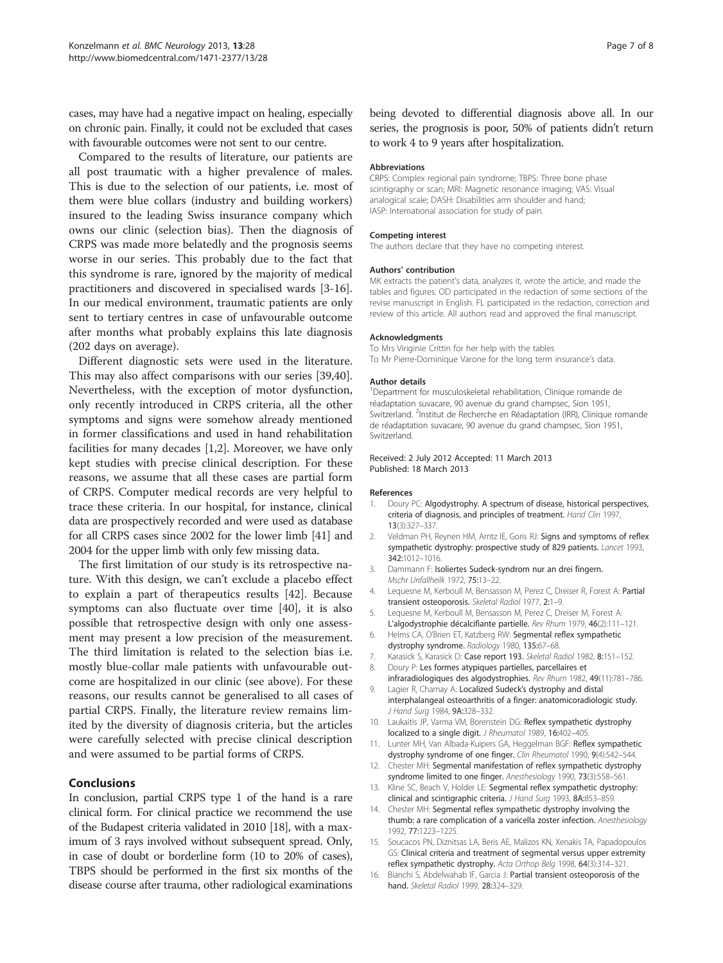<span id="page-6-0"></span>cases, may have had a negative impact on healing, especially on chronic pain. Finally, it could not be excluded that cases with favourable outcomes were not sent to our centre.

Compared to the results of literature, our patients are all post traumatic with a higher prevalence of males. This is due to the selection of our patients, i.e. most of them were blue collars (industry and building workers) insured to the leading Swiss insurance company which owns our clinic (selection bias). Then the diagnosis of CRPS was made more belatedly and the prognosis seems worse in our series. This probably due to the fact that this syndrome is rare, ignored by the majority of medical practitioners and discovered in specialised wards [3-16]. In our medical environment, traumatic patients are only sent to tertiary centres in case of unfavourable outcome after months what probably explains this late diagnosis (202 days on average).

Different diagnostic sets were used in the literature. This may also affect comparisons with our series [\[39,40](#page-7-0)]. Nevertheless, with the exception of motor dysfunction, only recently introduced in CRPS criteria, all the other symptoms and signs were somehow already mentioned in former classifications and used in hand rehabilitation facilities for many decades [1,2]. Moreover, we have only kept studies with precise clinical description. For these reasons, we assume that all these cases are partial form of CRPS. Computer medical records are very helpful to trace these criteria. In our hospital, for instance, clinical data are prospectively recorded and were used as database for all CRPS cases since 2002 for the lower limb [[41](#page-7-0)] and 2004 for the upper limb with only few missing data.

The first limitation of our study is its retrospective nature. With this design, we can't exclude a placebo effect to explain a part of therapeutics results [[42\]](#page-7-0). Because symptoms can also fluctuate over time [[40\]](#page-7-0), it is also possible that retrospective design with only one assessment may present a low precision of the measurement. The third limitation is related to the selection bias i.e. mostly blue-collar male patients with unfavourable outcome are hospitalized in our clinic (see above). For these reasons, our results cannot be generalised to all cases of partial CRPS. Finally, the literature review remains limited by the diversity of diagnosis criteria, but the articles were carefully selected with precise clinical description and were assumed to be partial forms of CRPS.

#### Conclusions

In conclusion, partial CRPS type 1 of the hand is a rare clinical form. For clinical practice we recommend the use of the Budapest criteria validated in 2010 [\[18\]](#page-7-0), with a maximum of 3 rays involved without subsequent spread. Only, in case of doubt or borderline form (10 to 20% of cases), TBPS should be performed in the first six months of the disease course after trauma, other radiological examinations

being devoted to differential diagnosis above all. In our series, the prognosis is poor, 50% of patients didn't return to work 4 to 9 years after hospitalization.

#### Abbreviations

CRPS: Complex regional pain syndrome; TBPS: Three bone phase scintigraphy or scan; MRI: Magnetic resonance imaging; VAS: Visual analogical scale; DASH: Disabilities arm shoulder and hand; IASP: International association for study of pain.

#### Competing interest

The authors declare that they have no competing interest.

#### Authors' contribution

MK extracts the patient's data, analyzes it, wrote the article, and made the tables and figures. OD participated in the redaction of some sections of the revise manuscript in English. FL participated in the redaction, correction and review of this article. All authors read and approved the final manuscript.

#### Acknowledgments

To Mrs Viriginie Crittin for her help with the tables To Mr Pierre-Dominique Varone for the long term insurance's data.

#### Author details

<sup>1</sup>Department for musculoskeletal rehabilitation, Clinique romande de réadaptation suvacare, 90 avenue du grand champsec, Sion 1951, Switzerland. <sup>2</sup>Institut de Recherche en Réadaptation (IRR), Clinique romande de réadaptation suvacare, 90 avenue du grand champsec, Sion 1951, Switzerland.

Received: 2 July 2012 Accepted: 11 March 2013 Published: 18 March 2013

#### References

- 1. Doury PC: Algodystrophy. A spectrum of disease, historical perspectives, criteria of diagnosis, and principles of treatment. Hand Clin 1997, 13(3):327–337.
- 2. Veldman PH, Reynen HM, Arntz IE, Goris RJ: Signs and symptoms of reflex sympathetic dystrophy: prospective study of 829 patients. Lancet 1993, 342:1012–1016.
- 3. Dammann F: Isoliertes Sudeck-syndrom nur an drei fingern. Mschr Unfallheilk 1972, 75:13–22.
- 4. Lequesne M, Kerboull M, Bensasson M, Perez C, Dreiser R, Forest A: Partial transient osteoporosis. Skeletal Radiol 1977, 2:1–9.
- 5. Lequesne M, Kerboull M, Bensasson M, Perez C, Dreiser M, Forest A: L'algodystrophie décalcifiante partielle. Rev Rhum 1979, 46(2):111–121.
- 6. Helms CA, O'Brien ET, Katzberg RW: Segmental reflex sympathetic dystrophy syndrome. Radiology 1980, 135:67–68.
- 7. Karasick S, Karasick D: Case report 193. Skeletal Radiol 1982, 8:151-152.
- 8. Doury P: Les formes atypiques partielles, parcellaires et
- infraradiologiques des algodystrophies. Rev Rhum 1982, 49(11):781–786. 9. Lagier R, Chamay A: Localized Sudeck's dystrophy and distal interphalangeal osteoarthritis of a finger: anatomicoradiologic study. J Hand Surg 1984, 9A:328–332.
- 10. Laukaitis JP, Varma VM, Borenstein DG: Reflex sympathetic dystrophy localized to a single digit. J Rheumatol 1989, 16:402-405.
- 11. Lunter MH, Van Albada-Kuipers GA, Heggelman BGF: Reflex sympathetic dystrophy syndrome of one finger. Clin Rheumatol 1990, 9(4):542–544.
- 12. Chester MH: Segmental manifestation of reflex sympathetic dystrophy syndrome limited to one finger. Anesthesiology 1990, 73(3):558–561.
- 13. Kline SC, Beach V, Holder LE: Segmental reflex sympathetic dystrophy: clinical and scintigraphic criteria. J Hand Surg 1993, 8A:853–859.
- 14. Chester MH: Segmental reflex sympathetic dystrophy involving the thumb: a rare complication of a varicella zoster infection. Anesthesiology 1992, 77:1223–1225.
- 15. Soucacos PN, Diznitsas LA, Beris AE, Malizos KN, Xenakis TA, Papadopoulos GS: Clinical criteria and treatment of segmental versus upper extremity reflex sympathetic dystrophy. Acta Orthop Belg 1998, 64(3):314–321.
- 16. Bianchi S, Abdelwahab IF, Garcia J: Partial transient osteoporosis of the hand. Skeletal Radiol 1999, 28:324–329.